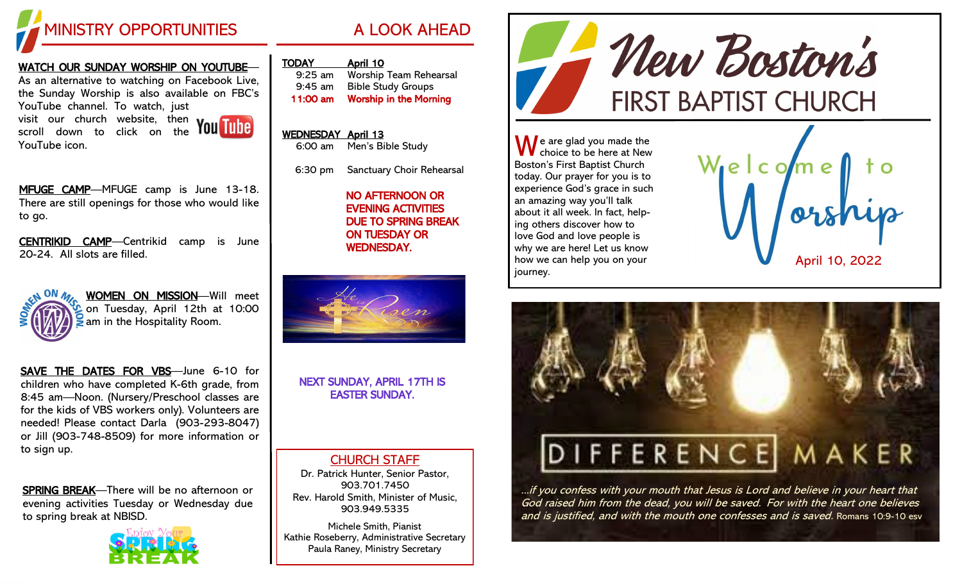

#### WATCH OUR SUNDAY WORSHIP ON YOUTUBE—

As an alternative to watching on Facebook Live, the Sunday Worship is also available on FBC's YouTube channel. To watch, just visit our church website, then scroll down to click on the YouTube icon.



MFUGE CAMP—MFUGE camp is June 13-18. There are still openings for those who would like to go.

CENTRIKID CAMP—Centrikid camp is June 20-24. All slots are filled.



WOMEN ON MISSION—Will meet on Tuesday, April 12th at 10:00  $\geq$  am in the Hospitality Room.

SAVE THE DATES FOR VBS—June 6-10 for children who have completed K-6th grade, from 8:45 am—Noon. (Nursery/Preschool classes are for the kids of VBS workers only). Volunteers are needed! Please contact Darla (903-293-8047) or Jill (903-748-8509) for more information or to sign up.

SPRING BREAK—There will be no afternoon or evening activities Tuesday or Wednesday due to spring break at NBISD.



|  | A LOOK AHEAD |  |  |
|--|--------------|--|--|
|--|--------------|--|--|

| TODAY                 | April 10 |  |
|-----------------------|----------|--|
| $Q \cdot 2F \cdot 2m$ | Marchin  |  |

| $9:25$ am | <b>Worship Team Rehearsal</b> |
|-----------|-------------------------------|
| $9:45$ am | <b>Bible Study Groups</b>     |
| 11:00 am  | <b>Worship in the Morning</b> |

# WEDNESDAY April 13 6:00 am Men's Bible Study

6:30 pm Sanctuary Choir Rehearsal

 NO AFTERNOON OR EVENING ACTIVITIES DUE TO SPRING BREAK ON TUESDAY OR WEDNESDAY.



NEXT SUNDAY, APRIL 17TH IS EASTER SUNDAY.

### CHURCH STAFF

Dr. Patrick Hunter, Senior Pastor, 903.701.7450 Rev. Harold Smith, Minister of Music, 903.949.5335

Michele Smith, Pianist Kathie Roseberry, Administrative Secretary Paula Raney, Ministry Secretary



 $\bigwedge$  e are glad you made the choice to be here at New Boston's First Baptist Church today. Our prayer for you is to experience God's grace in such an amazing way you'll talk about it all week. In fact, helping others discover how to love God and love people is why we are here! Let us know how we can help you on your journey.





...if you confess with your mouth that Jesus is Lord and believe in your heart that God raised him from the dead, you will be saved. For with the heart one believes and is justified, and with the mouth one confesses and is saved. Romans 10:9-10 esv